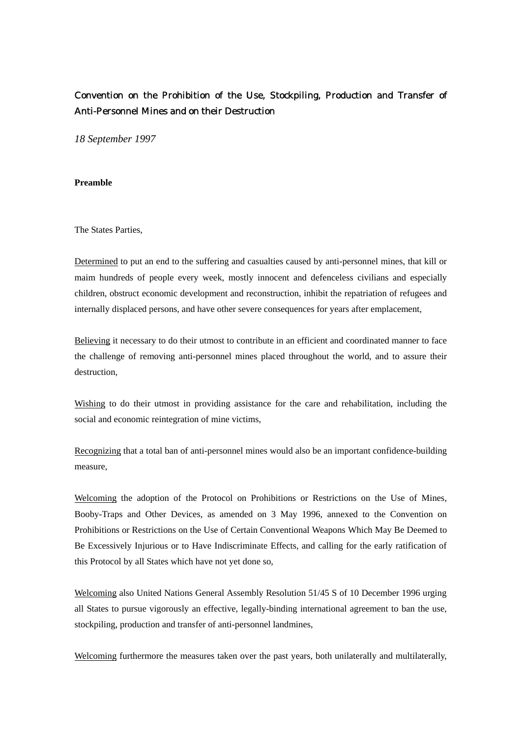# Convention on the Prohibition of the Use, Stockpiling, Production and Transfer of Anti-Personnel Mines and on their Destruction

*18 September 1997*

# **Preamble**

The States Parties,

Determined to put an end to the suffering and casualties caused by anti-personnel mines, that kill or maim hundreds of people every week, mostly innocent and defenceless civilians and especially children, obstruct economic development and reconstruction, inhibit the repatriation of refugees and internally displaced persons, and have other severe consequences for years after emplacement,

Believing it necessary to do their utmost to contribute in an efficient and coordinated manner to face the challenge of removing anti-personnel mines placed throughout the world, and to assure their destruction,

Wishing to do their utmost in providing assistance for the care and rehabilitation, including the social and economic reintegration of mine victims,

Recognizing that a total ban of anti-personnel mines would also be an important confidence-building measure,

Welcoming the adoption of the Protocol on Prohibitions or Restrictions on the Use of Mines, Booby-Traps and Other Devices, as amended on 3 May 1996, annexed to the Convention on Prohibitions or Restrictions on the Use of Certain Conventional Weapons Which May Be Deemed to Be Excessively Injurious or to Have Indiscriminate Effects, and calling for the early ratification of this Protocol by all States which have not yet done so,

Welcoming also United Nations General Assembly Resolution 51/45 S of 10 December 1996 urging all States to pursue vigorously an effective, legally-binding international agreement to ban the use, stockpiling, production and transfer of anti-personnel landmines,

Welcoming furthermore the measures taken over the past years, both unilaterally and multilaterally,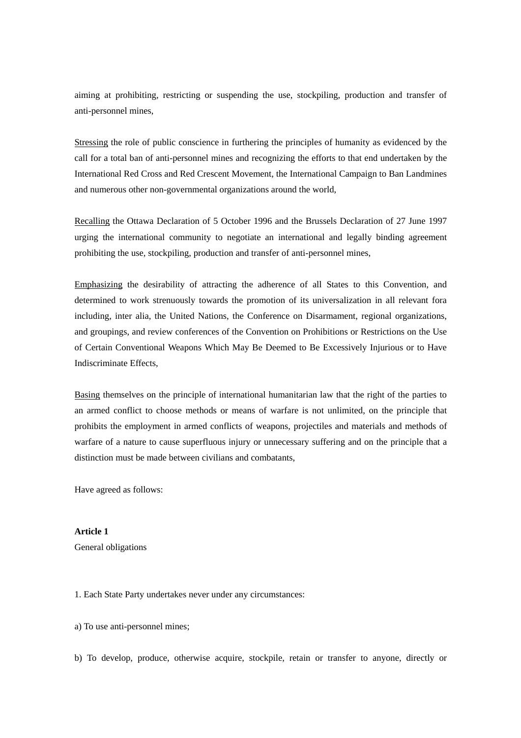aiming at prohibiting, restricting or suspending the use, stockpiling, production and transfer of anti-personnel mines,

Stressing the role of public conscience in furthering the principles of humanity as evidenced by the call for a total ban of anti-personnel mines and recognizing the efforts to that end undertaken by the International Red Cross and Red Crescent Movement, the International Campaign to Ban Landmines and numerous other non-governmental organizations around the world,

Recalling the Ottawa Declaration of 5 October 1996 and the Brussels Declaration of 27 June 1997 urging the international community to negotiate an international and legally binding agreement prohibiting the use, stockpiling, production and transfer of anti-personnel mines,

Emphasizing the desirability of attracting the adherence of all States to this Convention, and determined to work strenuously towards the promotion of its universalization in all relevant fora including, inter alia, the United Nations, the Conference on Disarmament, regional organizations, and groupings, and review conferences of the Convention on Prohibitions or Restrictions on the Use of Certain Conventional Weapons Which May Be Deemed to Be Excessively Injurious or to Have Indiscriminate Effects,

Basing themselves on the principle of international humanitarian law that the right of the parties to an armed conflict to choose methods or means of warfare is not unlimited, on the principle that prohibits the employment in armed conflicts of weapons, projectiles and materials and methods of warfare of a nature to cause superfluous injury or unnecessary suffering and on the principle that a distinction must be made between civilians and combatants,

Have agreed as follows:

**Article 1** General obligations

1. Each State Party undertakes never under any circumstances:

a) To use anti-personnel mines;

b) To develop, produce, otherwise acquire, stockpile, retain or transfer to anyone, directly or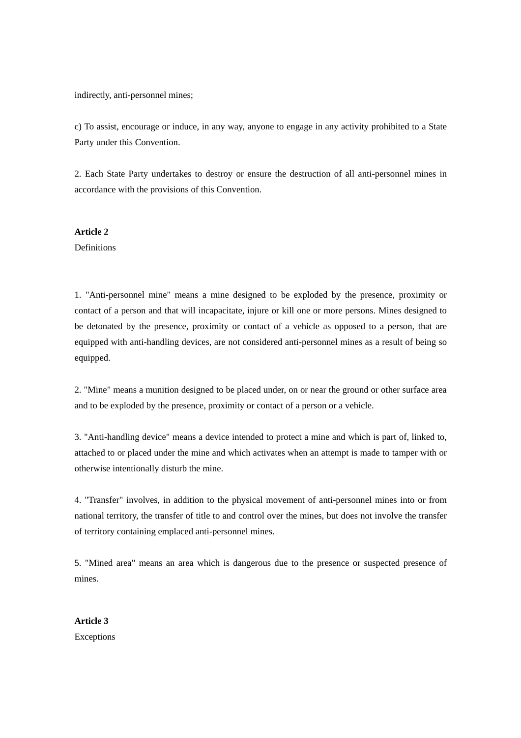indirectly, anti-personnel mines;

c) To assist, encourage or induce, in any way, anyone to engage in any activity prohibited to a State Party under this Convention.

2. Each State Party undertakes to destroy or ensure the destruction of all anti-personnel mines in accordance with the provisions of this Convention.

# **Article 2**

**Definitions** 

1. "Anti-personnel mine" means a mine designed to be exploded by the presence, proximity or contact of a person and that will incapacitate, injure or kill one or more persons. Mines designed to be detonated by the presence, proximity or contact of a vehicle as opposed to a person, that are equipped with anti-handling devices, are not considered anti-personnel mines as a result of being so equipped.

2. "Mine" means a munition designed to be placed under, on or near the ground or other surface area and to be exploded by the presence, proximity or contact of a person or a vehicle.

3. "Anti-handling device" means a device intended to protect a mine and which is part of, linked to, attached to or placed under the mine and which activates when an attempt is made to tamper with or otherwise intentionally disturb the mine.

4. "Transfer" involves, in addition to the physical movement of anti-personnel mines into or from national territory, the transfer of title to and control over the mines, but does not involve the transfer of territory containing emplaced anti-personnel mines.

5. "Mined area" means an area which is dangerous due to the presence or suspected presence of mines.

**Article 3** Exceptions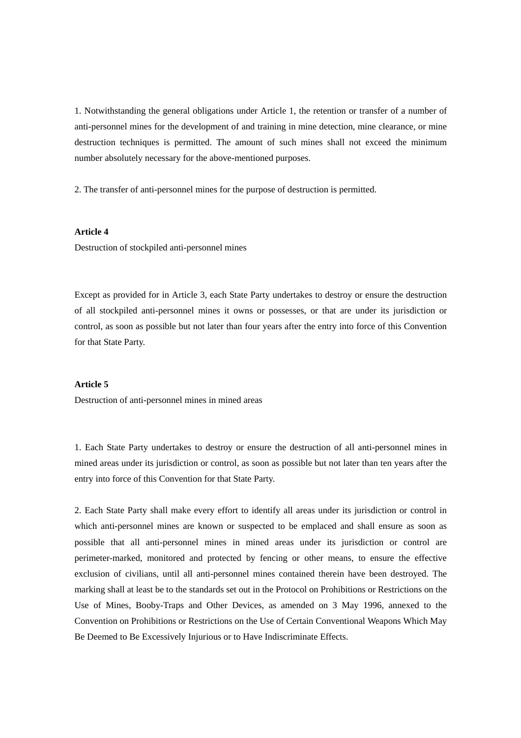1. Notwithstanding the general obligations under Article 1, the retention or transfer of a number of anti-personnel mines for the development of and training in mine detection, mine clearance, or mine destruction techniques is permitted. The amount of such mines shall not exceed the minimum number absolutely necessary for the above-mentioned purposes.

2. The transfer of anti-personnel mines for the purpose of destruction is permitted.

## **Article 4**

Destruction of stockpiled anti-personnel mines

Except as provided for in Article 3, each State Party undertakes to destroy or ensure the destruction of all stockpiled anti-personnel mines it owns or possesses, or that are under its jurisdiction or control, as soon as possible but not later than four years after the entry into force of this Convention for that State Party.

#### **Article 5**

Destruction of anti-personnel mines in mined areas

1. Each State Party undertakes to destroy or ensure the destruction of all anti-personnel mines in mined areas under its jurisdiction or control, as soon as possible but not later than ten years after the entry into force of this Convention for that State Party.

2. Each State Party shall make every effort to identify all areas under its jurisdiction or control in which anti-personnel mines are known or suspected to be emplaced and shall ensure as soon as possible that all anti-personnel mines in mined areas under its jurisdiction or control are perimeter-marked, monitored and protected by fencing or other means, to ensure the effective exclusion of civilians, until all anti-personnel mines contained therein have been destroyed. The marking shall at least be to the standards set out in the Protocol on Prohibitions or Restrictions on the Use of Mines, Booby-Traps and Other Devices, as amended on 3 May 1996, annexed to the Convention on Prohibitions or Restrictions on the Use of Certain Conventional Weapons Which May Be Deemed to Be Excessively Injurious or to Have Indiscriminate Effects.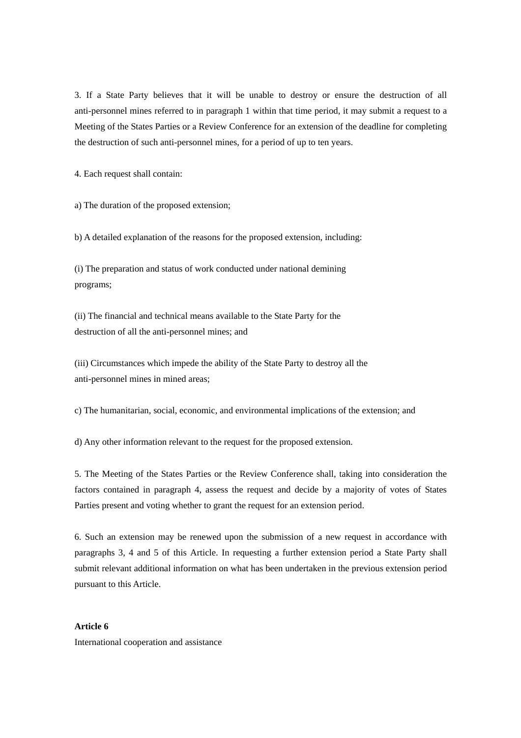3. If a State Party believes that it will be unable to destroy or ensure the destruction of all anti-personnel mines referred to in paragraph 1 within that time period, it may submit a request to a Meeting of the States Parties or a Review Conference for an extension of the deadline for completing the destruction of such anti-personnel mines, for a period of up to ten years.

4. Each request shall contain:

a) The duration of the proposed extension;

b) A detailed explanation of the reasons for the proposed extension, including:

(i) The preparation and status of work conducted under national demining programs;

(ii) The financial and technical means available to the State Party for the destruction of all the anti-personnel mines; and

(iii) Circumstances which impede the ability of the State Party to destroy all the anti-personnel mines in mined areas;

c) The humanitarian, social, economic, and environmental implications of the extension; and

d) Any other information relevant to the request for the proposed extension.

5. The Meeting of the States Parties or the Review Conference shall, taking into consideration the factors contained in paragraph 4, assess the request and decide by a majority of votes of States Parties present and voting whether to grant the request for an extension period.

6. Such an extension may be renewed upon the submission of a new request in accordance with paragraphs 3, 4 and 5 of this Article. In requesting a further extension period a State Party shall submit relevant additional information on what has been undertaken in the previous extension period pursuant to this Article.

#### **Article 6**

International cooperation and assistance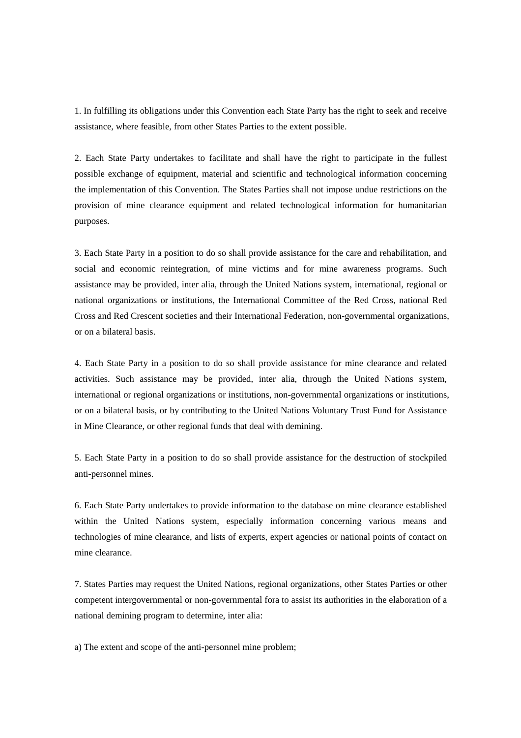1. In fulfilling its obligations under this Convention each State Party has the right to seek and receive assistance, where feasible, from other States Parties to the extent possible.

2. Each State Party undertakes to facilitate and shall have the right to participate in the fullest possible exchange of equipment, material and scientific and technological information concerning the implementation of this Convention. The States Parties shall not impose undue restrictions on the provision of mine clearance equipment and related technological information for humanitarian purposes.

3. Each State Party in a position to do so shall provide assistance for the care and rehabilitation, and social and economic reintegration, of mine victims and for mine awareness programs. Such assistance may be provided, inter alia, through the United Nations system, international, regional or national organizations or institutions, the International Committee of the Red Cross, national Red Cross and Red Crescent societies and their International Federation, non-governmental organizations, or on a bilateral basis.

4. Each State Party in a position to do so shall provide assistance for mine clearance and related activities. Such assistance may be provided, inter alia, through the United Nations system, international or regional organizations or institutions, non-governmental organizations or institutions, or on a bilateral basis, or by contributing to the United Nations Voluntary Trust Fund for Assistance in Mine Clearance, or other regional funds that deal with demining.

5. Each State Party in a position to do so shall provide assistance for the destruction of stockpiled anti-personnel mines.

6. Each State Party undertakes to provide information to the database on mine clearance established within the United Nations system, especially information concerning various means and technologies of mine clearance, and lists of experts, expert agencies or national points of contact on mine clearance.

7. States Parties may request the United Nations, regional organizations, other States Parties or other competent intergovernmental or non-governmental fora to assist its authorities in the elaboration of a national demining program to determine, inter alia:

a) The extent and scope of the anti-personnel mine problem;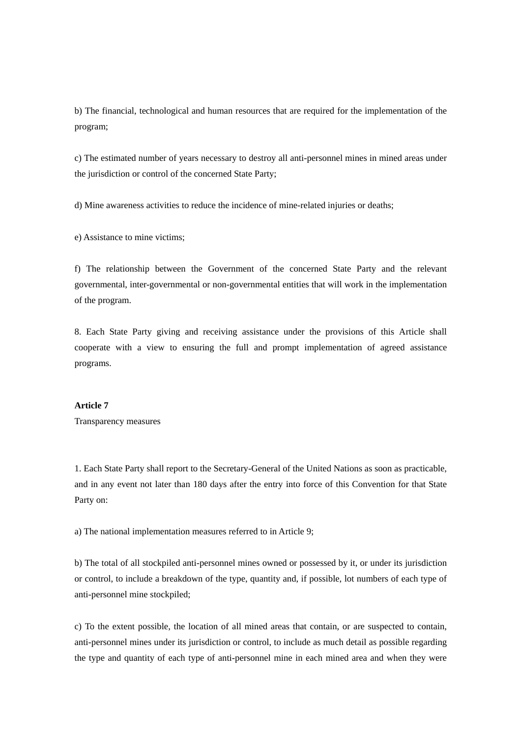b) The financial, technological and human resources that are required for the implementation of the program;

c) The estimated number of years necessary to destroy all anti-personnel mines in mined areas under the jurisdiction or control of the concerned State Party;

d) Mine awareness activities to reduce the incidence of mine-related injuries or deaths;

e) Assistance to mine victims;

f) The relationship between the Government of the concerned State Party and the relevant governmental, inter-governmental or non-governmental entities that will work in the implementation of the program.

8. Each State Party giving and receiving assistance under the provisions of this Article shall cooperate with a view to ensuring the full and prompt implementation of agreed assistance programs.

## **Article 7**

Transparency measures

1. Each State Party shall report to the Secretary-General of the United Nations as soon as practicable, and in any event not later than 180 days after the entry into force of this Convention for that State Party on:

a) The national implementation measures referred to in Article 9;

b) The total of all stockpiled anti-personnel mines owned or possessed by it, or under its jurisdiction or control, to include a breakdown of the type, quantity and, if possible, lot numbers of each type of anti-personnel mine stockpiled;

c) To the extent possible, the location of all mined areas that contain, or are suspected to contain, anti-personnel mines under its jurisdiction or control, to include as much detail as possible regarding the type and quantity of each type of anti-personnel mine in each mined area and when they were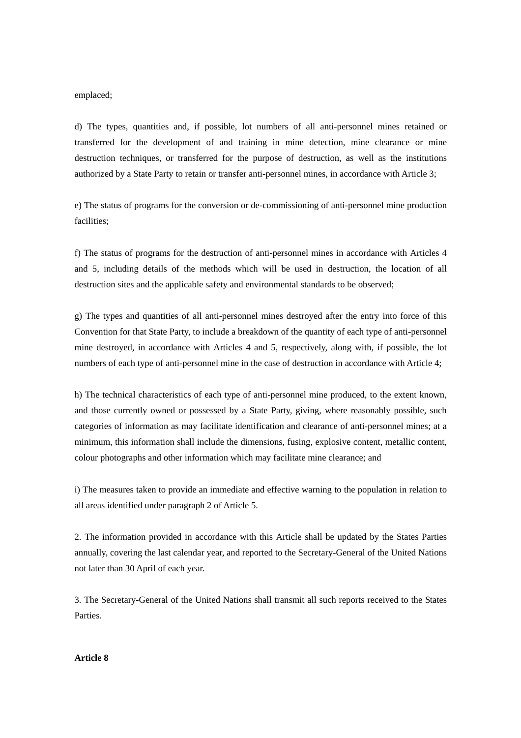#### emplaced;

d) The types, quantities and, if possible, lot numbers of all anti-personnel mines retained or transferred for the development of and training in mine detection, mine clearance or mine destruction techniques, or transferred for the purpose of destruction, as well as the institutions authorized by a State Party to retain or transfer anti-personnel mines, in accordance with Article 3;

e) The status of programs for the conversion or de-commissioning of anti-personnel mine production facilities;

f) The status of programs for the destruction of anti-personnel mines in accordance with Articles 4 and 5, including details of the methods which will be used in destruction, the location of all destruction sites and the applicable safety and environmental standards to be observed;

g) The types and quantities of all anti-personnel mines destroyed after the entry into force of this Convention for that State Party, to include a breakdown of the quantity of each type of anti-personnel mine destroyed, in accordance with Articles 4 and 5, respectively, along with, if possible, the lot numbers of each type of anti-personnel mine in the case of destruction in accordance with Article 4;

h) The technical characteristics of each type of anti-personnel mine produced, to the extent known, and those currently owned or possessed by a State Party, giving, where reasonably possible, such categories of information as may facilitate identification and clearance of anti-personnel mines; at a minimum, this information shall include the dimensions, fusing, explosive content, metallic content, colour photographs and other information which may facilitate mine clearance; and

i) The measures taken to provide an immediate and effective warning to the population in relation to all areas identified under paragraph 2 of Article 5.

2. The information provided in accordance with this Article shall be updated by the States Parties annually, covering the last calendar year, and reported to the Secretary-General of the United Nations not later than 30 April of each year.

3. The Secretary-General of the United Nations shall transmit all such reports received to the States Parties.

## **Article 8**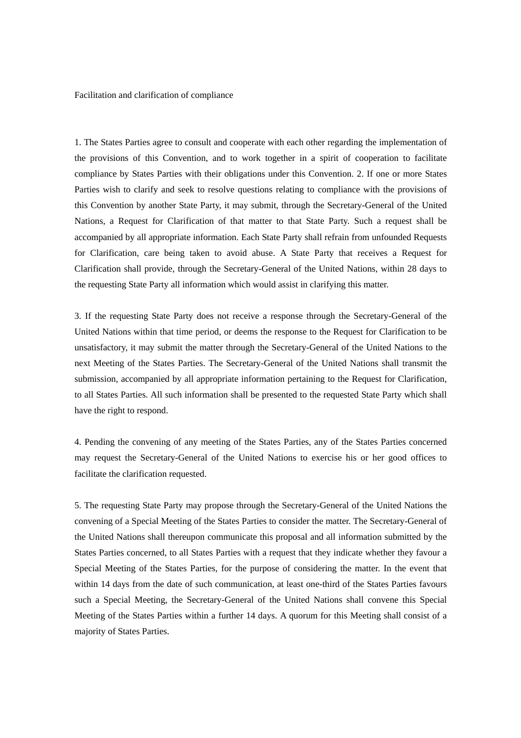Facilitation and clarification of compliance

1. The States Parties agree to consult and cooperate with each other regarding the implementation of the provisions of this Convention, and to work together in a spirit of cooperation to facilitate compliance by States Parties with their obligations under this Convention. 2. If one or more States Parties wish to clarify and seek to resolve questions relating to compliance with the provisions of this Convention by another State Party, it may submit, through the Secretary-General of the United Nations, a Request for Clarification of that matter to that State Party. Such a request shall be accompanied by all appropriate information. Each State Party shall refrain from unfounded Requests for Clarification, care being taken to avoid abuse. A State Party that receives a Request for Clarification shall provide, through the Secretary-General of the United Nations, within 28 days to the requesting State Party all information which would assist in clarifying this matter.

3. If the requesting State Party does not receive a response through the Secretary-General of the United Nations within that time period, or deems the response to the Request for Clarification to be unsatisfactory, it may submit the matter through the Secretary-General of the United Nations to the next Meeting of the States Parties. The Secretary-General of the United Nations shall transmit the submission, accompanied by all appropriate information pertaining to the Request for Clarification, to all States Parties. All such information shall be presented to the requested State Party which shall have the right to respond.

4. Pending the convening of any meeting of the States Parties, any of the States Parties concerned may request the Secretary-General of the United Nations to exercise his or her good offices to facilitate the clarification requested.

5. The requesting State Party may propose through the Secretary-General of the United Nations the convening of a Special Meeting of the States Parties to consider the matter. The Secretary-General of the United Nations shall thereupon communicate this proposal and all information submitted by the States Parties concerned, to all States Parties with a request that they indicate whether they favour a Special Meeting of the States Parties, for the purpose of considering the matter. In the event that within 14 days from the date of such communication, at least one-third of the States Parties favours such a Special Meeting, the Secretary-General of the United Nations shall convene this Special Meeting of the States Parties within a further 14 days. A quorum for this Meeting shall consist of a majority of States Parties.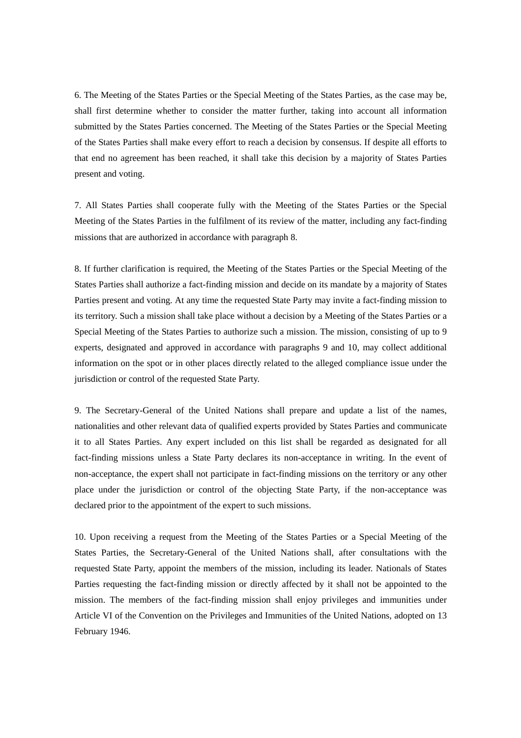6. The Meeting of the States Parties or the Special Meeting of the States Parties, as the case may be, shall first determine whether to consider the matter further, taking into account all information submitted by the States Parties concerned. The Meeting of the States Parties or the Special Meeting of the States Parties shall make every effort to reach a decision by consensus. If despite all efforts to that end no agreement has been reached, it shall take this decision by a majority of States Parties present and voting.

7. All States Parties shall cooperate fully with the Meeting of the States Parties or the Special Meeting of the States Parties in the fulfilment of its review of the matter, including any fact-finding missions that are authorized in accordance with paragraph 8.

8. If further clarification is required, the Meeting of the States Parties or the Special Meeting of the States Parties shall authorize a fact-finding mission and decide on its mandate by a majority of States Parties present and voting. At any time the requested State Party may invite a fact-finding mission to its territory. Such a mission shall take place without a decision by a Meeting of the States Parties or a Special Meeting of the States Parties to authorize such a mission. The mission, consisting of up to 9 experts, designated and approved in accordance with paragraphs 9 and 10, may collect additional information on the spot or in other places directly related to the alleged compliance issue under the jurisdiction or control of the requested State Party.

9. The Secretary-General of the United Nations shall prepare and update a list of the names, nationalities and other relevant data of qualified experts provided by States Parties and communicate it to all States Parties. Any expert included on this list shall be regarded as designated for all fact-finding missions unless a State Party declares its non-acceptance in writing. In the event of non-acceptance, the expert shall not participate in fact-finding missions on the territory or any other place under the jurisdiction or control of the objecting State Party, if the non-acceptance was declared prior to the appointment of the expert to such missions.

10. Upon receiving a request from the Meeting of the States Parties or a Special Meeting of the States Parties, the Secretary-General of the United Nations shall, after consultations with the requested State Party, appoint the members of the mission, including its leader. Nationals of States Parties requesting the fact-finding mission or directly affected by it shall not be appointed to the mission. The members of the fact-finding mission shall enjoy privileges and immunities under Article VI of the Convention on the Privileges and Immunities of the United Nations, adopted on 13 February 1946.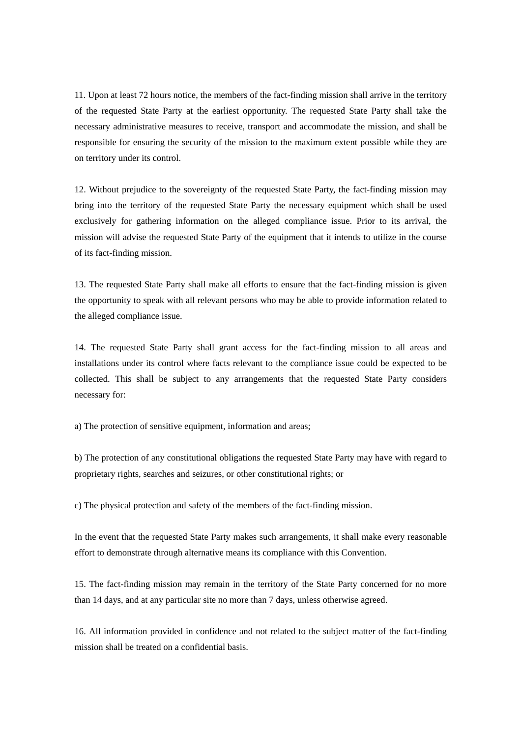11. Upon at least 72 hours notice, the members of the fact-finding mission shall arrive in the territory of the requested State Party at the earliest opportunity. The requested State Party shall take the necessary administrative measures to receive, transport and accommodate the mission, and shall be responsible for ensuring the security of the mission to the maximum extent possible while they are on territory under its control.

12. Without prejudice to the sovereignty of the requested State Party, the fact-finding mission may bring into the territory of the requested State Party the necessary equipment which shall be used exclusively for gathering information on the alleged compliance issue. Prior to its arrival, the mission will advise the requested State Party of the equipment that it intends to utilize in the course of its fact-finding mission.

13. The requested State Party shall make all efforts to ensure that the fact-finding mission is given the opportunity to speak with all relevant persons who may be able to provide information related to the alleged compliance issue.

14. The requested State Party shall grant access for the fact-finding mission to all areas and installations under its control where facts relevant to the compliance issue could be expected to be collected. This shall be subject to any arrangements that the requested State Party considers necessary for:

a) The protection of sensitive equipment, information and areas;

b) The protection of any constitutional obligations the requested State Party may have with regard to proprietary rights, searches and seizures, or other constitutional rights; or

c) The physical protection and safety of the members of the fact-finding mission.

In the event that the requested State Party makes such arrangements, it shall make every reasonable effort to demonstrate through alternative means its compliance with this Convention.

15. The fact-finding mission may remain in the territory of the State Party concerned for no more than 14 days, and at any particular site no more than 7 days, unless otherwise agreed.

16. All information provided in confidence and not related to the subject matter of the fact-finding mission shall be treated on a confidential basis.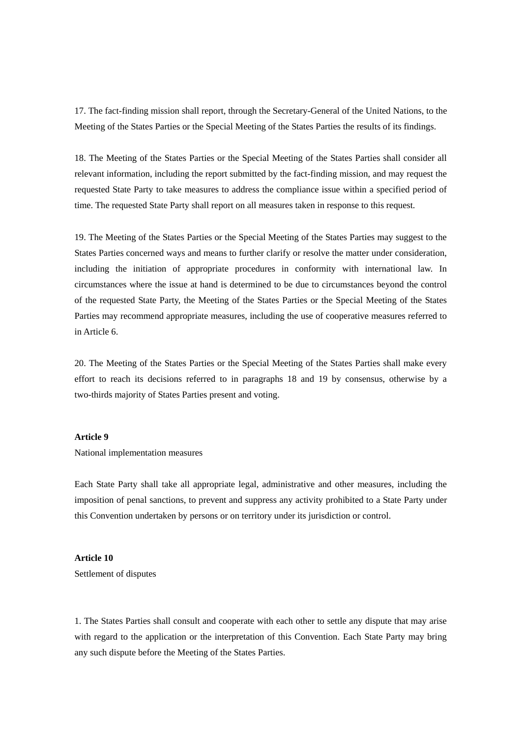17. The fact-finding mission shall report, through the Secretary-General of the United Nations, to the Meeting of the States Parties or the Special Meeting of the States Parties the results of its findings.

18. The Meeting of the States Parties or the Special Meeting of the States Parties shall consider all relevant information, including the report submitted by the fact-finding mission, and may request the requested State Party to take measures to address the compliance issue within a specified period of time. The requested State Party shall report on all measures taken in response to this request.

19. The Meeting of the States Parties or the Special Meeting of the States Parties may suggest to the States Parties concerned ways and means to further clarify or resolve the matter under consideration, including the initiation of appropriate procedures in conformity with international law. In circumstances where the issue at hand is determined to be due to circumstances beyond the control of the requested State Party, the Meeting of the States Parties or the Special Meeting of the States Parties may recommend appropriate measures, including the use of cooperative measures referred to in Article 6.

20. The Meeting of the States Parties or the Special Meeting of the States Parties shall make every effort to reach its decisions referred to in paragraphs 18 and 19 by consensus, otherwise by a two-thirds majority of States Parties present and voting.

# **Article 9**

National implementation measures

Each State Party shall take all appropriate legal, administrative and other measures, including the imposition of penal sanctions, to prevent and suppress any activity prohibited to a State Party under this Convention undertaken by persons or on territory under its jurisdiction or control.

## **Article 10**

Settlement of disputes

1. The States Parties shall consult and cooperate with each other to settle any dispute that may arise with regard to the application or the interpretation of this Convention. Each State Party may bring any such dispute before the Meeting of the States Parties.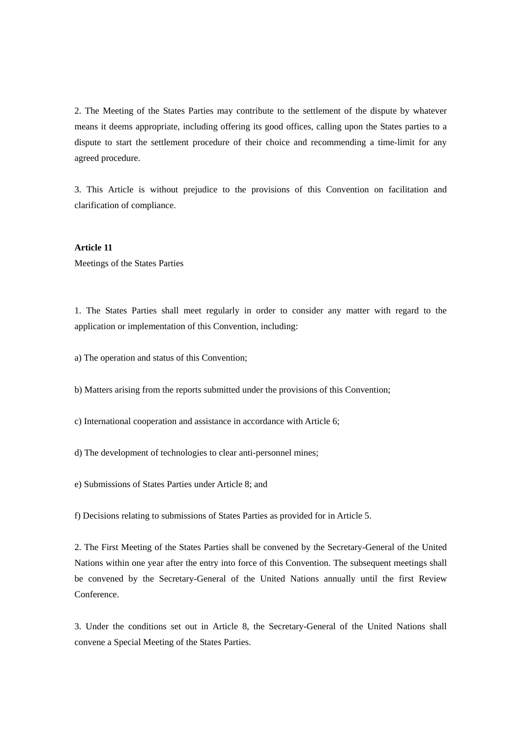2. The Meeting of the States Parties may contribute to the settlement of the dispute by whatever means it deems appropriate, including offering its good offices, calling upon the States parties to a dispute to start the settlement procedure of their choice and recommending a time-limit for any agreed procedure.

3. This Article is without prejudice to the provisions of this Convention on facilitation and clarification of compliance.

#### **Article 11**

Meetings of the States Parties

1. The States Parties shall meet regularly in order to consider any matter with regard to the application or implementation of this Convention, including:

a) The operation and status of this Convention;

b) Matters arising from the reports submitted under the provisions of this Convention;

c) International cooperation and assistance in accordance with Article 6;

- d) The development of technologies to clear anti-personnel mines;
- e) Submissions of States Parties under Article 8; and

f) Decisions relating to submissions of States Parties as provided for in Article 5.

2. The First Meeting of the States Parties shall be convened by the Secretary-General of the United Nations within one year after the entry into force of this Convention. The subsequent meetings shall be convened by the Secretary-General of the United Nations annually until the first Review Conference.

3. Under the conditions set out in Article 8, the Secretary-General of the United Nations shall convene a Special Meeting of the States Parties.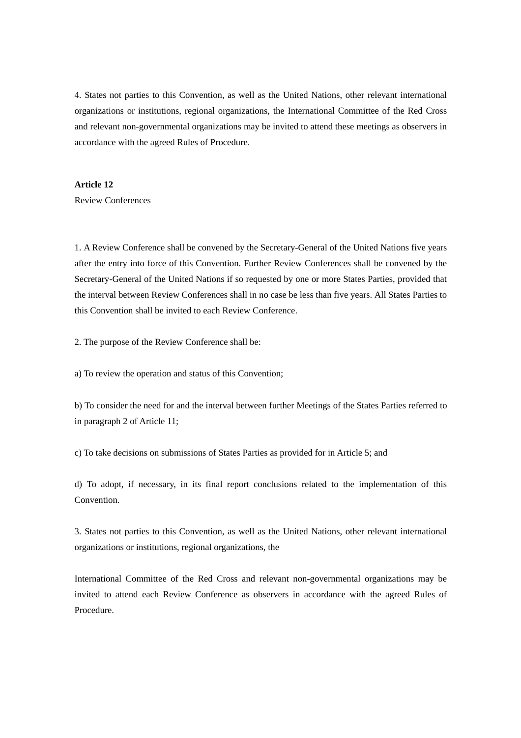4. States not parties to this Convention, as well as the United Nations, other relevant international organizations or institutions, regional organizations, the International Committee of the Red Cross and relevant non-governmental organizations may be invited to attend these meetings as observers in accordance with the agreed Rules of Procedure.

# **Article 12**

Review Conferences

1. A Review Conference shall be convened by the Secretary-General of the United Nations five years after the entry into force of this Convention. Further Review Conferences shall be convened by the Secretary-General of the United Nations if so requested by one or more States Parties, provided that the interval between Review Conferences shall in no case be less than five years. All States Parties to this Convention shall be invited to each Review Conference.

2. The purpose of the Review Conference shall be:

a) To review the operation and status of this Convention;

b) To consider the need for and the interval between further Meetings of the States Parties referred to in paragraph 2 of Article 11;

c) To take decisions on submissions of States Parties as provided for in Article 5; and

d) To adopt, if necessary, in its final report conclusions related to the implementation of this Convention.

3. States not parties to this Convention, as well as the United Nations, other relevant international organizations or institutions, regional organizations, the

International Committee of the Red Cross and relevant non-governmental organizations may be invited to attend each Review Conference as observers in accordance with the agreed Rules of Procedure.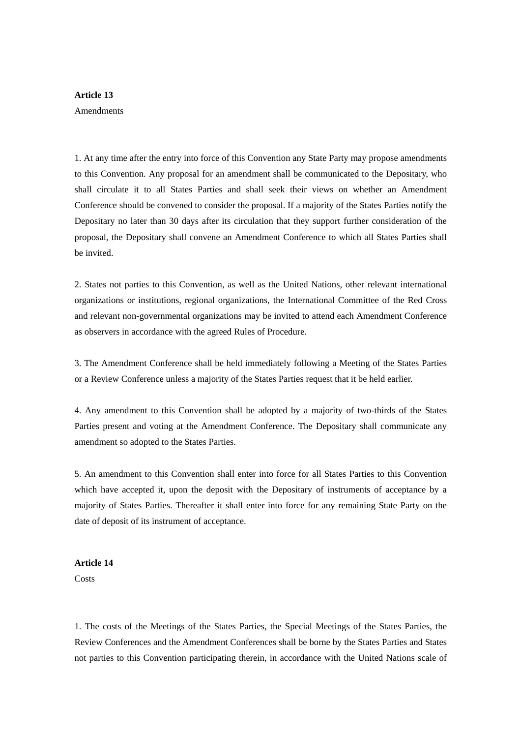## **Article 13**

Amendments

1. At any time after the entry into force of this Convention any State Party may propose amendments to this Convention. Any proposal for an amendment shall be communicated to the Depositary, who shall circulate it to all States Parties and shall seek their views on whether an Amendment Conference should be convened to consider the proposal. If a majority of the States Parties notify the Depositary no later than 30 days after its circulation that they support further consideration of the proposal, the Depositary shall convene an Amendment Conference to which all States Parties shall be invited.

2. States not parties to this Convention, as well as the United Nations, other relevant international organizations or institutions, regional organizations, the International Committee of the Red Cross and relevant non-governmental organizations may be invited to attend each Amendment Conference as observers in accordance with the agreed Rules of Procedure.

3. The Amendment Conference shall be held immediately following a Meeting of the States Parties or a Review Conference unless a majority of the States Parties request that it be held earlier.

4. Any amendment to this Convention shall be adopted by a majority of two-thirds of the States Parties present and voting at the Amendment Conference. The Depositary shall communicate any amendment so adopted to the States Parties.

5. An amendment to this Convention shall enter into force for all States Parties to this Convention which have accepted it, upon the deposit with the Depositary of instruments of acceptance by a majority of States Parties. Thereafter it shall enter into force for any remaining State Party on the date of deposit of its instrument of acceptance.

#### **Article 14**

**Costs** 

1. The costs of the Meetings of the States Parties, the Special Meetings of the States Parties, the Review Conferences and the Amendment Conferences shall be borne by the States Parties and States not parties to this Convention participating therein, in accordance with the United Nations scale of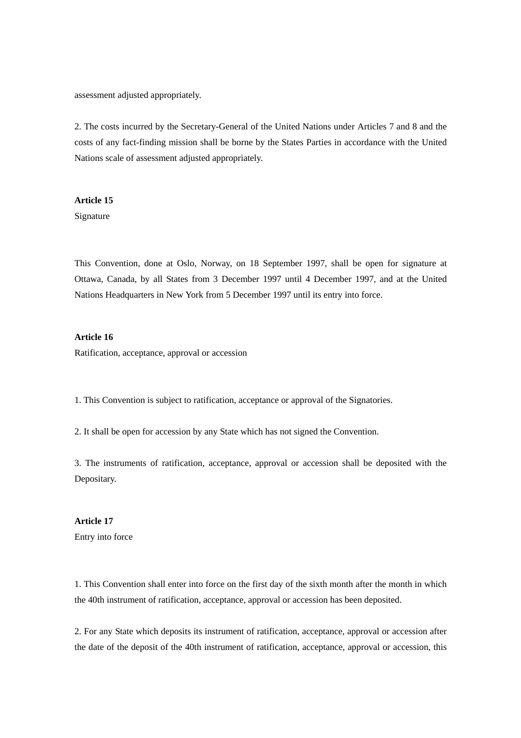assessment adjusted appropriately.

2. The costs incurred by the Secretary-General of the United Nations under Articles 7 and 8 and the costs of any fact-finding mission shall be borne by the States Parties in accordance with the United Nations scale of assessment adjusted appropriately.

# **Article 15**

Signature

This Convention, done at Oslo, Norway, on 18 September 1997, shall be open for signature at Ottawa, Canada, by all States from 3 December 1997 until 4 December 1997, and at the United Nations Headquarters in New York from 5 December 1997 until its entry into force.

## **Article 16**

Ratification, acceptance, approval or accession

1. This Convention is subject to ratification, acceptance or approval of the Signatories.

2. It shall be open for accession by any State which has not signed the Convention.

3. The instruments of ratification, acceptance, approval or accession shall be deposited with the Depositary.

# **Article 17**

Entry into force

1. This Convention shall enter into force on the first day of the sixth month after the month in which the 40th instrument of ratification, acceptance, approval or accession has been deposited.

2. For any State which deposits its instrument of ratification, acceptance, approval or accession after the date of the deposit of the 40th instrument of ratification, acceptance, approval or accession, this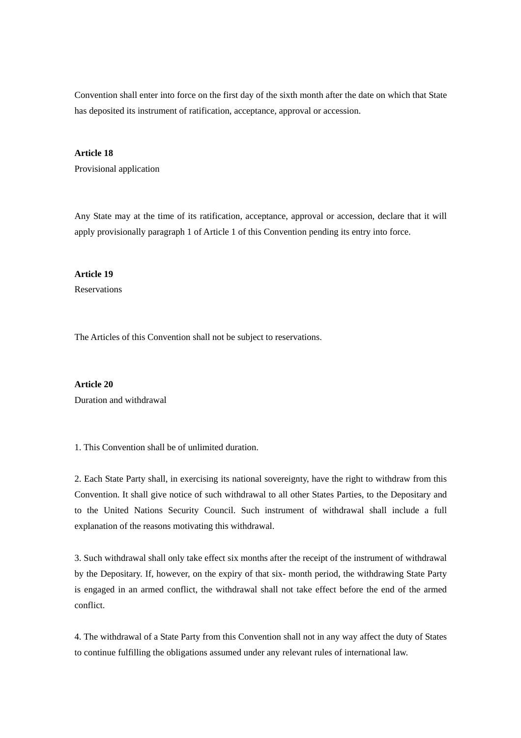Convention shall enter into force on the first day of the sixth month after the date on which that State has deposited its instrument of ratification, acceptance, approval or accession.

# **Article 18**

Provisional application

Any State may at the time of its ratification, acceptance, approval or accession, declare that it will apply provisionally paragraph 1 of Article 1 of this Convention pending its entry into force.

# **Article 19**

Reservations

The Articles of this Convention shall not be subject to reservations.

**Article 20** Duration and withdrawal

1. This Convention shall be of unlimited duration.

2. Each State Party shall, in exercising its national sovereignty, have the right to withdraw from this Convention. It shall give notice of such withdrawal to all other States Parties, to the Depositary and to the United Nations Security Council. Such instrument of withdrawal shall include a full explanation of the reasons motivating this withdrawal.

3. Such withdrawal shall only take effect six months after the receipt of the instrument of withdrawal by the Depositary. If, however, on the expiry of that six- month period, the withdrawing State Party is engaged in an armed conflict, the withdrawal shall not take effect before the end of the armed conflict.

4. The withdrawal of a State Party from this Convention shall not in any way affect the duty of States to continue fulfilling the obligations assumed under any relevant rules of international law.